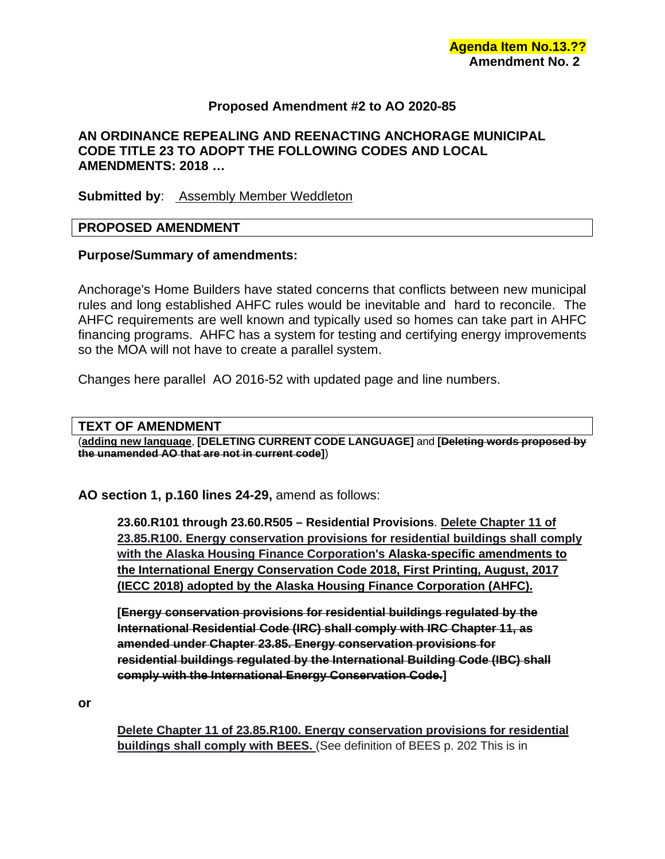# **Proposed Amendment #2 to AO 2020-85**

### **AN ORDINANCE REPEALING AND REENACTING ANCHORAGE MUNICIPAL CODE TITLE 23 TO ADOPT THE FOLLOWING CODES AND LOCAL AMENDMENTS: 2018 …**

**Submitted by:** Assembly Member Weddleton

#### **PROPOSED AMENDMENT**

### **Purpose/Summary of amendments:**

Anchorage's Home Builders have stated concerns that conflicts between new municipal rules and long established AHFC rules would be inevitable and hard to reconcile. The AHFC requirements are well known and typically used so homes can take part in AHFC financing programs. AHFC has a system for testing and certifying energy improvements so the MOA will not have to create a parallel system.

Changes here parallel AO 2016-52 with updated page and line numbers.

#### **TEXT OF AMENDMENT**

(**adding new language**, **[DELETING CURRENT CODE LANGUAGE]** and **[Deleting words proposed by the unamended AO that are not in current code]**)

**AO section 1, p.160 lines 24-29,** amend as follows:

**23.60.R101 through 23.60.R505 – Residential Provisions**. **Delete Chapter 11 of 23.85.R100. Energy conservation provisions for residential buildings shall comply with the Alaska Housing Finance Corporation's Alaska-specific amendments to the International Energy Conservation Code 2018, First Printing, August, 2017 (IECC 2018) adopted by the Alaska Housing Finance Corporation (AHFC).**

**[Energy conservation provisions for residential buildings regulated by the International Residential Code (IRC) shall comply with IRC Chapter 11, as amended under Chapter 23.85. Energy conservation provisions for residential buildings regulated by the International Building Code (IBC) shall comply with the International Energy Conservation Code.]**

**or**

**Delete Chapter 11 of 23.85.R100. Energy conservation provisions for residential buildings shall comply with BEES.** (See definition of BEES p. 202 This is in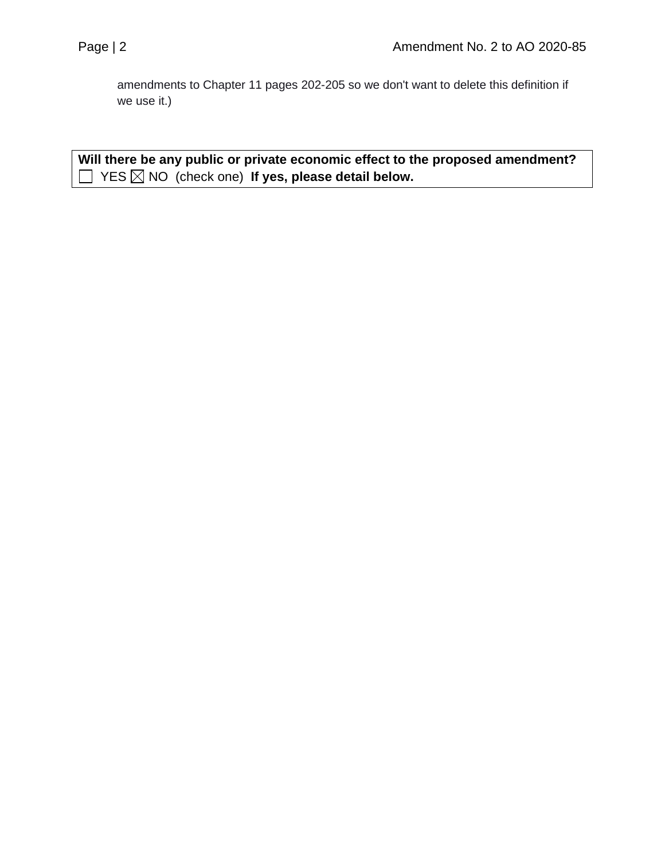amendments to Chapter 11 pages 202-205 so we don't want to delete this definition if we use it.)

**Will there be any public or private economic effect to the proposed amendment?**  YES NO (check one) **If yes, please detail below.**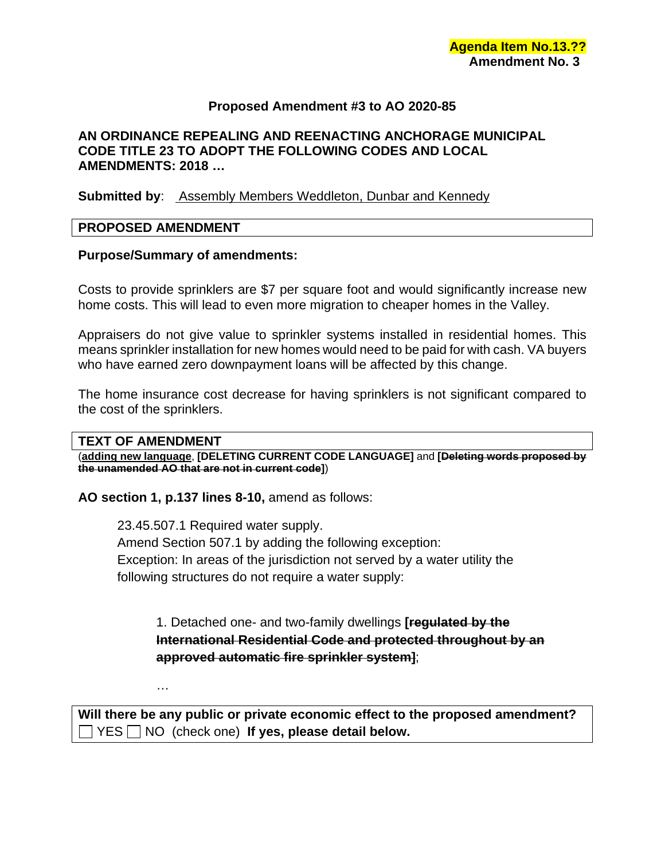# **Proposed Amendment #3 to AO 2020-85**

# **AN ORDINANCE REPEALING AND REENACTING ANCHORAGE MUNICIPAL CODE TITLE 23 TO ADOPT THE FOLLOWING CODES AND LOCAL AMENDMENTS: 2018 …**

### **Submitted by:** Assembly Members Weddleton, Dunbar and Kennedy

#### **PROPOSED AMENDMENT**

### **Purpose/Summary of amendments:**

Costs to provide sprinklers are \$7 per square foot and would significantly increase new home costs. This will lead to even more migration to cheaper homes in the Valley.

Appraisers do not give value to sprinkler systems installed in residential homes. This means sprinkler installation for new homes would need to be paid for with cash. VA buyers who have earned zero downpayment loans will be affected by this change.

The home insurance cost decrease for having sprinklers is not significant compared to the cost of the sprinklers.

#### **TEXT OF AMENDMENT**

…

(**adding new language**, **[DELETING CURRENT CODE LANGUAGE]** and **[Deleting words proposed by the unamended AO that are not in current code]**)

**AO section 1, p.137 lines 8-10,** amend as follows:

23.45.507.1 Required water supply. Amend Section 507.1 by adding the following exception: Exception: In areas of the jurisdiction not served by a water utility the following structures do not require a water supply:

1. Detached one- and two-family dwellings **[regulated by the International Residential Code and protected throughout by an approved automatic fire sprinkler system]**;

**Will there be any public or private economic effect to the proposed amendment?**  YES NO (check one) **If yes, please detail below.**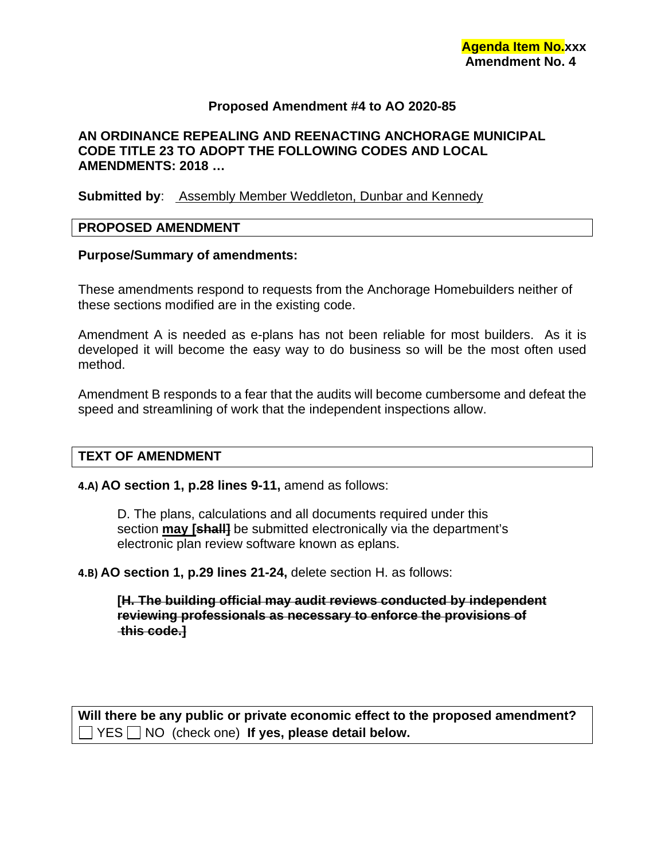## **Proposed Amendment #4 to AO 2020-85**

# **AN ORDINANCE REPEALING AND REENACTING ANCHORAGE MUNICIPAL CODE TITLE 23 TO ADOPT THE FOLLOWING CODES AND LOCAL AMENDMENTS: 2018 …**

#### **Submitted by:** Assembly Member Weddleton, Dunbar and Kennedy

#### **PROPOSED AMENDMENT**

#### **Purpose/Summary of amendments:**

These amendments respond to requests from the Anchorage Homebuilders neither of these sections modified are in the existing code.

Amendment A is needed as e-plans has not been reliable for most builders. As it is developed it will become the easy way to do business so will be the most often used method.

Amendment B responds to a fear that the audits will become cumbersome and defeat the speed and streamlining of work that the independent inspections allow.

#### **TEXT OF AMENDMENT**

#### **4.A) AO section 1, p.28 lines 9-11,** amend as follows:

D. The plans, calculations and all documents required under this section **may [shall]** be submitted electronically via the department's electronic plan review software known as eplans.

**4.B) AO section 1, p.29 lines 21-24,** delete section H. as follows:

**[H. The building official may audit reviews conducted by independent reviewing professionals as necessary to enforce the provisions of this code.]**

**Will there be any public or private economic effect to the proposed amendment?**  YES NO (check one) **If yes, please detail below.**